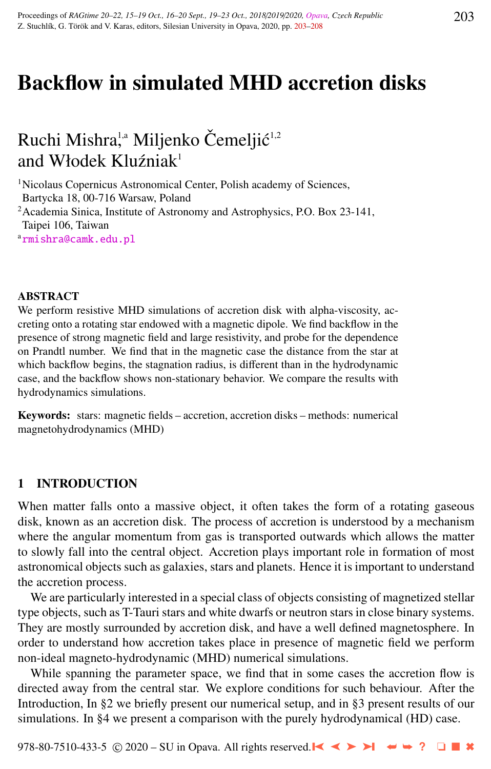# Backflow in simulated MHD accretion disks

## Ruchi Mishra<sup>ța</sup> Miljenko Čemeljić<sup>1,2</sup> and Włodek Kluźniak<sup>1</sup>

<sup>1</sup>Nicolaus Copernicus Astronomical Center, Polish academy of Sciences, Bartycka 18, 00-716 Warsaw, Poland  $2^2$ Academia Sinica, Institute of Astronomy and Astrophysics, P.O. Box 23-141,

Taipei 106, Taiwan

a[rmishra@camk.edu.pl](http://www.physics.cz/ rmishra@camk.edu.pl)

### ABSTRACT

We perform resistive MHD simulations of accretion disk with alpha-viscosity, accreting onto a rotating star endowed with a magnetic dipole. We find backflow in the presence of strong magnetic field and large resistivity, and probe for the dependence on Prandtl number. We find that in the magnetic case the distance from the star at which backflow begins, the stagnation radius, is different than in the hydrodynamic case, and the backflow shows non-stationary behavior. We compare the results with hydrodynamics simulations.

Keywords: stars: magnetic fields – accretion, accretion disks – methods: numerical magnetohydrodynamics (MHD)

## 1 INTRODUCTION

When matter falls onto a massive object, it often takes the form of a rotating gaseous disk, known as an accretion disk. The process of accretion is understood by a mechanism where the angular momentum from gas is transported outwards which allows the matter to slowly fall into the central object. Accretion plays important role in formation of most astronomical objects such as galaxies, stars and planets. Hence it is important to understand the accretion process.

We are particularly interested in a special class of objects consisting of magnetized stellar type objects, such as T-Tauri stars and white dwarfs or neutron stars in close binary systems. They are mostly surrounded by accretion disk, and have a well defined magnetosphere. In order to understand how accretion takes place in presence of magnetic field we perform non-ideal magneto-hydrodynamic (MHD) numerical simulations.

While spanning the parameter space, we find that in some cases the accretion flow is directed away from the central star. We explore conditions for such behaviour. After the Introduction, In §2 we briefly present our numerical setup, and in §3 present results of our simulations. In §4 we present a comparison with the purely hydrodynamical (HD) case.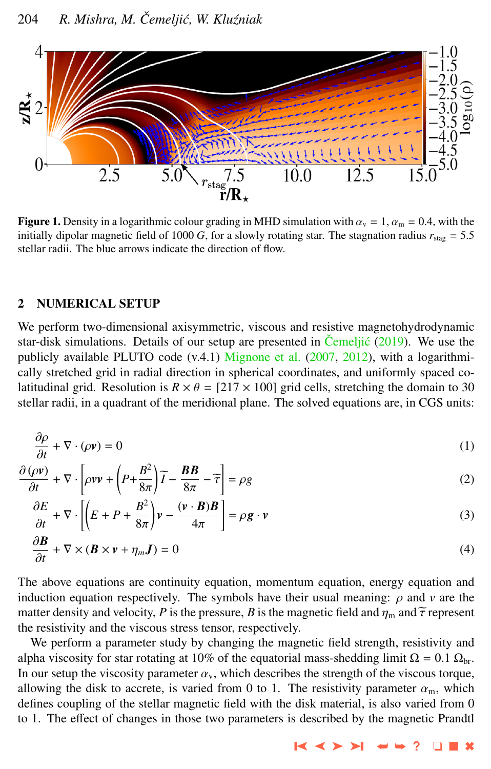<span id="page-1-0"></span>

**Figure 1.** Density in a logarithmic colour grading in MHD simulation with  $\alpha_v = 1$ ,  $\alpha_m = 0.4$ , with the initially dipolar magnetic field of 1000 *G*, for a slowly rotating star. The stagnation radius  $r_{\text{star}} = 5.5$ stellar radii. The blue arrows indicate the direction of flow.

### 2 NUMERICAL SETUP

We perform two-dimensional axisymmetric, viscous and resistive magnetohydrodynamic star-disk simulations. Details of our setup are presented in [Cemelji](#page-5-0)ć  $(2019)$ . We use the publicly available PLUTO code (v.4.1) [Mignone et al.](#page-4-0) [\(2007,](#page-4-0) [2012\)](#page-5-0), with a logarithmically stretched grid in radial direction in spherical coordinates, and uniformly spaced colatitudinal grid. Resolution is  $R \times \theta = [217 \times 100]$  grid cells, stretching the domain to 30 stellar radii, in a quadrant of the meridional plane. The solved equations are, in CGS units:

$$
\frac{\partial \rho}{\partial t} + \nabla \cdot (\rho \mathbf{v}) = 0
$$
\n
$$
\frac{\partial (\rho \mathbf{v})}{\partial t} = \left( \frac{\rho^2}{\rho^2} \right) \left( \frac{\partial \mathbf{R}}{\partial \rho} \right) \tag{1}
$$

$$
\frac{\partial (\rho \mathbf{v})}{\partial t} + \nabla \cdot \left[ \rho \mathbf{v} \mathbf{v} + \left( P + \frac{B^2}{8\pi} \right) \widetilde{I} - \frac{BB}{8\pi} - \widetilde{\tau} \right] = \rho g \tag{2}
$$

$$
\frac{\partial E}{\partial t} + \nabla \cdot \left[ \left( E + P + \frac{B^2}{8\pi} \right) v - \frac{(\mathbf{v} \cdot \mathbf{B})B}{4\pi} \right] = \rho \mathbf{g} \cdot \mathbf{v}
$$
\n(3)

$$
\frac{\partial \mathbf{B}}{\partial t} + \nabla \times (\mathbf{B} \times \mathbf{v} + \eta_m \mathbf{J}) = 0 \tag{4}
$$

The above equations are continuity equation, momentum equation, energy equation and induction equation respectively. The symbols have their usual meaning:  $\rho$  and  $\nu$  are the matter density and velocity, *P* is the pressure, *B* is the magnetic field and  $\eta_m$  and  $\tilde{\tau}$  represent the resistivity and the viscous stress tensor, respectively.

We perform a parameter study by changing the magnetic field strength, resistivity and alpha viscosity for star rotating at 10% of the equatorial mass-shedding limit  $\Omega = 0.1 \Omega_{\rm br}$ . In our setup the viscosity parameter  $\alpha_v$ , which describes the strength of the viscous torque, allowing the disk to accrete, is varied from 0 to 1. The resistivity parameter  $\alpha_m$ , which defines coupling of the stellar magnetic field with the disk material, is also varied from 0 to 1. The effect of changes in those two parameters is described by the magnetic Prandtl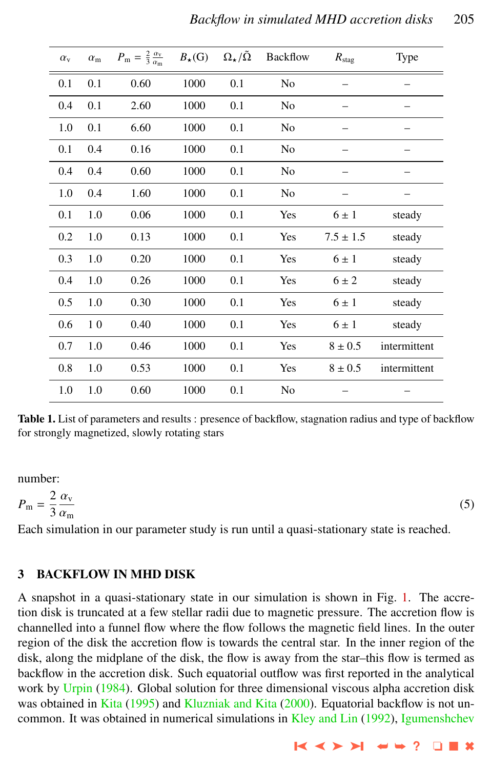| $\alpha_{\rm v}$ | $\alpha_{\rm m}$ | $P_{\rm m} = \frac{2}{3} \frac{\alpha_{\rm v}}{\alpha_{\rm m}}$ | $B_{\star}(G)$ | $\Omega_\star/\tilde{\Omega}$ | <b>Backflow</b> | $R_{\rm stag}$ | <b>Type</b>  |
|------------------|------------------|-----------------------------------------------------------------|----------------|-------------------------------|-----------------|----------------|--------------|
| 0.1              | 0.1              | 0.60                                                            | 1000           | 0.1                           | No              |                |              |
| 0.4              | 0.1              | 2.60                                                            | 1000           | 0.1                           | N <sub>0</sub>  |                |              |
| 1.0              | 0.1              | 6.60                                                            | 1000           | 0.1                           | N <sub>0</sub>  |                |              |
| 0.1              | 0.4              | 0.16                                                            | 1000           | 0.1                           | No              |                |              |
| 0.4              | 0.4              | 0.60                                                            | 1000           | 0.1                           | N <sub>0</sub>  |                |              |
| 1.0              | 0.4              | 1.60                                                            | 1000           | 0.1                           | N <sub>0</sub>  |                |              |
| 0.1              | 1.0              | 0.06                                                            | 1000           | 0.1                           | Yes             | $6 \pm 1$      | steady       |
| 0.2              | 1.0              | 0.13                                                            | 1000           | 0.1                           | Yes             | $7.5 \pm 1.5$  | steady       |
| 0.3              | 1.0              | 0.20                                                            | 1000           | 0.1                           | Yes             | $6 \pm 1$      | steady       |
| 0.4              | 1.0              | 0.26                                                            | 1000           | 0.1                           | Yes             | $6 \pm 2$      | steady       |
| 0.5              | 1.0              | 0.30                                                            | 1000           | 0.1                           | Yes             | $6 \pm 1$      | steady       |
| 0.6              | 10               | 0.40                                                            | 1000           | 0.1                           | Yes             | $6 \pm 1$      | steady       |
| 0.7              | 1.0              | 0.46                                                            | 1000           | 0.1                           | Yes             | $8 \pm 0.5$    | intermittent |
| 0.8              | 1.0              | 0.53                                                            | 1000           | 0.1                           | Yes             | $8 \pm 0.5$    | intermittent |
| 1.0              | 1.0              | 0.60                                                            | 1000           | 0.1                           | No              |                |              |

Table 1. List of parameters and results : presence of backflow, stagnation radius and type of backflow for strongly magnetized, slowly rotating stars

number:

$$
P_{\rm m} = \frac{2}{3} \frac{\alpha_{\rm v}}{\alpha_{\rm m}} \tag{5}
$$

 $\alpha_{\rm m}$ <br>Each simulation in our parameter study is run until a quasi-stationary state is reached.

## 3 BACKFLOW IN MHD DISK

A snapshot in a quasi-stationary state in our simulation is shown in Fig. [1.](#page-1-0) The accretion disk is truncated at a few stellar radii due to magnetic pressure. The accretion flow is channelled into a funnel flow where the flow follows the magnetic field lines. In the outer region of the disk the accretion flow is towards the central star. In the inner region of the disk, along the midplane of the disk, the flow is away from the star–this flow is termed as backflow in the accretion disk. Such equatorial outflow was first reported in the analytical work by [Urpin](#page-5-0) [\(1984\)](#page-5-0). Global solution for three dimensional viscous alpha accretion disk was obtained in [Kita](#page-4-0) [\(1995\)](#page-4-0) and [Kluzniak and Kita](#page-4-0) [\(2000\)](#page-4-0). Equatorial backflow is not un-common. It was obtained in numerical simulations in [Kley and Lin](#page-4-0) [\(1992\)](#page-4-0), [Igumenshchev](#page-4-0)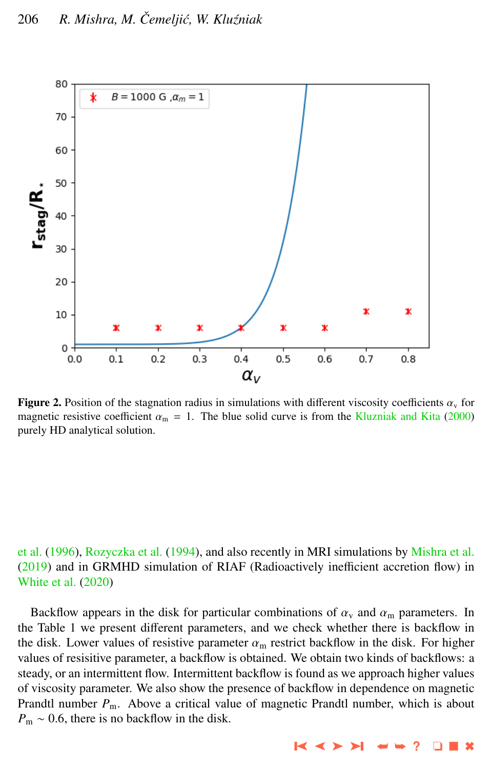<span id="page-3-0"></span>

**Figure 2.** Position of the stagnation radius in simulations with different viscosity coefficients  $\alpha_v$  for magnetic resistive coefficient  $\alpha_{\rm m} = 1$ . The blue solid curve is from the [Kluzniak and Kita](#page-4-0) [\(2000\)](#page-4-0) purely HD analytical solution.

## [et al.](#page-4-0) [\(1996\)](#page-4-0), [Rozyczka et al.](#page-5-0) [\(1994\)](#page-5-0), and also recently in MRI simulations by [Mishra et al.](#page-5-0) [\(2019\)](#page-5-0) and in GRMHD simulation of RIAF (Radioactively inefficient accretion flow) in [White et al.](#page-5-0) [\(2020\)](#page-5-0)

Backflow appears in the disk for particular combinations of  $\alpha_{v}$  and  $\alpha_{m}$  parameters. In the Table 1 we present different parameters, and we check whether there is backflow in the disk. Lower values of resistive parameter  $\alpha_m$  restrict backflow in the disk. For higher values of resisitive parameter, a backflow is obtained. We obtain two kinds of backflows: a steady, or an intermittent flow. Intermittent backflow is found as we approach higher values of viscosity parameter. We also show the presence of backflow in dependence on magnetic Prandtl number  $P_m$ . Above a critical value of magnetic Prandtl number, which is about  $P_m \sim 0.6$ , there is no backflow in the disk.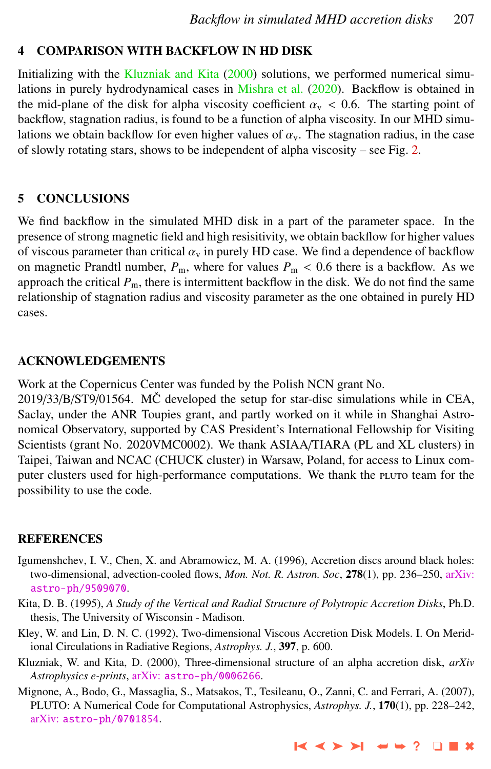## <span id="page-4-0"></span>4 COMPARISON WITH BACKFLOW IN HD DISK

Initializing with the Kluzniak and Kita (2000) solutions, we performed numerical simulations in purely hydrodynamical cases in [Mishra et al.](#page-5-0) [\(2020\)](#page-5-0). Backflow is obtained in the mid-plane of the disk for alpha viscosity coefficient  $\alpha_{v}$  < 0.6. The starting point of backflow, stagnation radius, is found to be a function of alpha viscosity. In our MHD simulations we obtain backflow for even higher values of  $\alpha_{v}$ . The stagnation radius, in the case of slowly rotating stars, shows to be independent of alpha viscosity – see Fig. [2.](#page-3-0)

## 5 CONCLUSIONS

We find backflow in the simulated MHD disk in a part of the parameter space. In the presence of strong magnetic field and high resisitivity, we obtain backflow for higher values of viscous parameter than critical  $\alpha<sub>v</sub>$  in purely HD case. We find a dependence of backflow on magnetic Prandtl number,  $P_m$ , where for values  $P_m$  < 0.6 there is a backflow. As we approach the critical  $P_m$ , there is intermittent backflow in the disk. We do not find the same relationship of stagnation radius and viscosity parameter as the one obtained in purely HD cases.

## ACKNOWLEDGEMENTS

Work at the Copernicus Center was funded by the Polish NCN grant No.

 $2019/33/B/ST9/01564$ . MC $\check{C}$  developed the setup for star-disc simulations while in CEA, Saclay, under the ANR Toupies grant, and partly worked on it while in Shanghai Astronomical Observatory, supported by CAS President's International Fellowship for Visiting Scientists (grant No. 2020VMC0002). We thank ASIAA/TIARA (PL and XL clusters) in Taipei, Taiwan and NCAC (CHUCK cluster) in Warsaw, Poland, for access to Linux computer clusters used for high-performance computations. We thank the pluto team for the possibility to use the code.

## REFERENCES

- Igumenshchev, I. V., Chen, X. and Abramowicz, M. A. (1996), Accretion discs around black holes: two-dimensional, advection-cooled flows, *Mon. Not. R. Astron. Soc*, 278(1), pp. 236–250, [arXiv:](http://www.arxiv.org/abs/astro-ph/9509070) [astro-ph/9509070](http://www.arxiv.org/abs/astro-ph/9509070).
- Kita, D. B. (1995), *A Study of the Vertical and Radial Structure of Polytropic Accretion Disks*, Ph.D. thesis, The University of Wisconsin - Madison.
- Kley, W. and Lin, D. N. C. (1992), Two-dimensional Viscous Accretion Disk Models. I. On Meridional Circulations in Radiative Regions, *Astrophys. J.*, 397, p. 600.
- Kluzniak, W. and Kita, D. (2000), Three-dimensional structure of an alpha accretion disk, *arXiv Astrophysics e-prints*, arXiv: [astro-ph/0006266](http://www.arxiv.org/abs/astro-ph/0006266).
- Mignone, A., Bodo, G., Massaglia, S., Matsakos, T., Tesileanu, O., Zanni, C. and Ferrari, A. (2007), PLUTO: A Numerical Code for Computational Astrophysics, *Astrophys. J.*, 170(1), pp. 228–242, arXiv: [astro-ph/0701854](http://www.arxiv.org/abs/astro-ph/0701854).